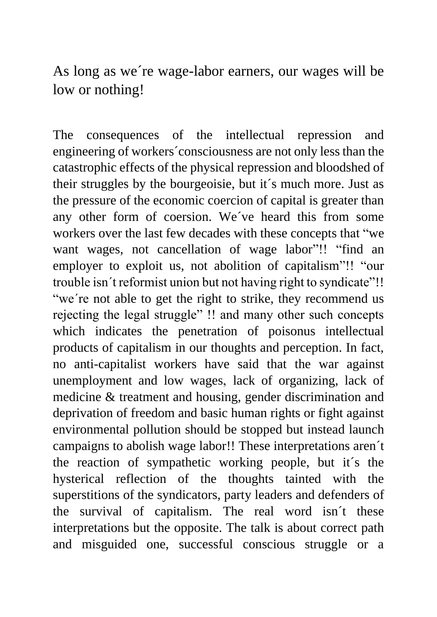As long as we´re wage-labor earners, our wages will be low or nothing!

The consequences of the intellectual repression and engineering of workers´consciousness are not only less than the catastrophic effects of the physical repression and bloodshed of their struggles by the bourgeoisie, but it´s much more. Just as the pressure of the economic coercion of capital is greater than any other form of coersion. We´ve heard this from some workers over the last few decades with these concepts that "we want wages, not cancellation of wage labor"!! "find an employer to exploit us, not abolition of capitalism"!! "our trouble isn´t reformist union but not having right to syndicate"!! "we're not able to get the right to strike, they recommend us rejecting the legal struggle" !! and many other such concepts which indicates the penetration of poisonus intellectual products of capitalism in our thoughts and perception. In fact, no anti-capitalist workers have said that the war against unemployment and low wages, lack of organizing, lack of medicine & treatment and housing, gender discrimination and deprivation of freedom and basic human rights or fight against environmental pollution should be stopped but instead launch campaigns to abolish wage labor!! These interpretations aren´t the reaction of sympathetic working people, but it´s the hysterical reflection of the thoughts tainted with the superstitions of the syndicators, party leaders and defenders of the survival of capitalism. The real word isn´t these interpretations but the opposite. The talk is about correct path and misguided one, successful conscious struggle or a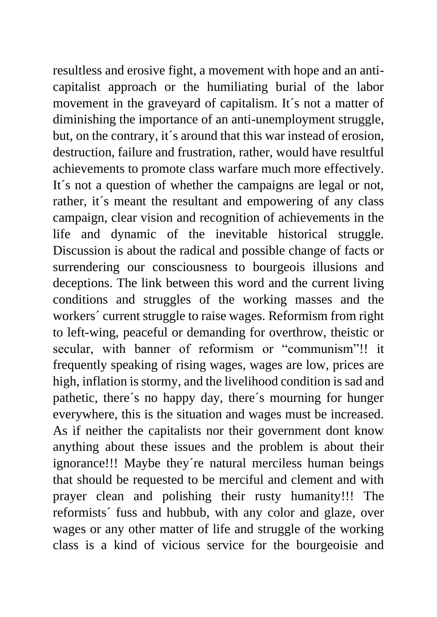resultless and erosive fight, a movement with hope and an anticapitalist approach or the humiliating burial of the labor movement in the graveyard of capitalism. It´s not a matter of diminishing the importance of an anti-unemployment struggle, but, on the contrary, it´s around that this war instead of erosion, destruction, failure and frustration, rather, would have resultful achievements to promote class warfare much more effectively. It´s not a question of whether the campaigns are legal or not, rather, it's meant the resultant and empowering of any class campaign, clear vision and recognition of achievements in the life and dynamic of the inevitable historical struggle. Discussion is about the radical and possible change of facts or surrendering our consciousness to bourgeois illusions and deceptions. The link between this word and the current living conditions and struggles of the working masses and the workers´ current struggle to raise wages. Reformism from right to left-wing, peaceful or demanding for overthrow, theistic or secular, with banner of reformism or "communism"!! it frequently speaking of rising wages, wages are low, prices are high, inflation is stormy, and the livelihood condition is sad and pathetic, there´s no happy day, there´s mourning for hunger everywhere, this is the situation and wages must be increased. As if neither the capitalists nor their government dont know anything about these issues and the problem is about their ignorance!!! Maybe they´re natural merciless human beings that should be requested to be merciful and clement and with prayer clean and polishing their rusty humanity!!! The reformists´ fuss and hubbub, with any color and glaze, over wages or any other matter of life and struggle of the working class is a kind of vicious service for the bourgeoisie and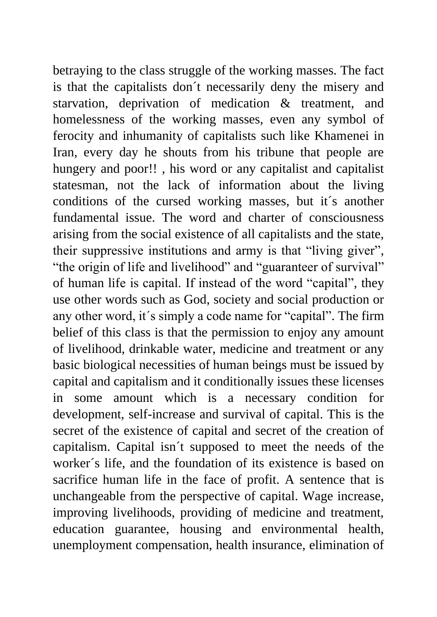betraying to the class struggle of the working masses. The fact is that the capitalists don´t necessarily deny the misery and starvation, deprivation of medication & treatment, and homelessness of the working masses, even any symbol of ferocity and inhumanity of capitalists such like Khamenei in Iran, every day he shouts from his tribune that people are hungery and poor!! , his word or any capitalist and capitalist statesman, not the lack of information about the living conditions of the cursed working masses, but it´s another fundamental issue. The word and charter of consciousness arising from the social existence of all capitalists and the state, their suppressive institutions and army is that "living giver", "the origin of life and livelihood" and "guaranteer of survival" of human life is capital. If instead of the word "capital", they use other words such as God, society and social production or any other word, it´s simply a code name for "capital". The firm belief of this class is that the permission to enjoy any amount of livelihood, drinkable water, medicine and treatment or any basic biological necessities of human beings must be issued by capital and capitalism and it conditionally issues these licenses in some amount which is a necessary condition for development, self-increase and survival of capital. This is the secret of the existence of capital and secret of the creation of capitalism. Capital isn´t supposed to meet the needs of the worker´s life, and the foundation of its existence is based on sacrifice human life in the face of profit. A sentence that is unchangeable from the perspective of capital. Wage increase, improving livelihoods, providing of medicine and treatment, education guarantee, housing and environmental health, unemployment compensation, health insurance, elimination of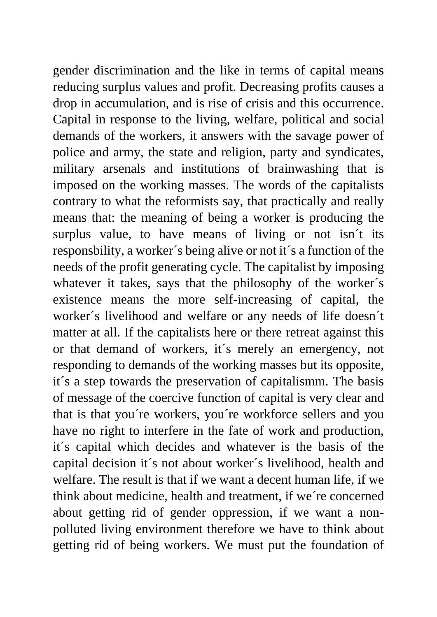gender discrimination and the like in terms of capital means reducing surplus values and profit. Decreasing profits causes a drop in accumulation, and is rise of crisis and this occurrence. Capital in response to the living, welfare, political and social demands of the workers, it answers with the savage power of police and army, the state and religion, party and syndicates, military arsenals and institutions of brainwashing that is imposed on the working masses. The words of the capitalists contrary to what the reformists say, that practically and really means that: the meaning of being a worker is producing the surplus value, to have means of living or not isn´t its responsbility, a worker´s being alive or not it´s a function of the needs of the profit generating cycle. The capitalist by imposing whatever it takes, says that the philosophy of the worker´s existence means the more self-increasing of capital, the worker´s livelihood and welfare or any needs of life doesn´t matter at all. If the capitalists here or there retreat against this or that demand of workers, it´s merely an emergency, not responding to demands of the working masses but its opposite, it´s a step towards the preservation of capitalismm. The basis of message of the coercive function of capital is very clear and that is that you´re workers, you´re workforce sellers and you have no right to interfere in the fate of work and production, it´s capital which decides and whatever is the basis of the capital decision it´s not about worker´s livelihood, health and welfare. The result is that if we want a decent human life, if we think about medicine, health and treatment, if we´re concerned about getting rid of gender oppression, if we want a nonpolluted living environment therefore we have to think about getting rid of being workers. We must put the foundation of